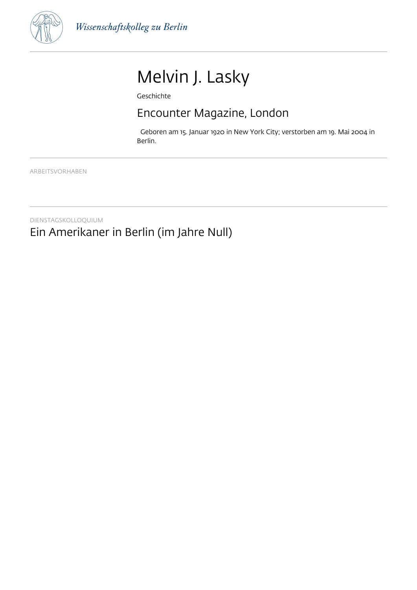

# Melvin J. Lasky

Geschichte

# Encounter Magazine, London

 Geboren am 15. Januar 1920 in New York City; verstorben am 19. Mai 2004 in Berlin.

ARBEITSVORHABEN

DIENSTAGSKOLLOQUIUM Ein Amerikaner in Berlin (im Jahre Null)